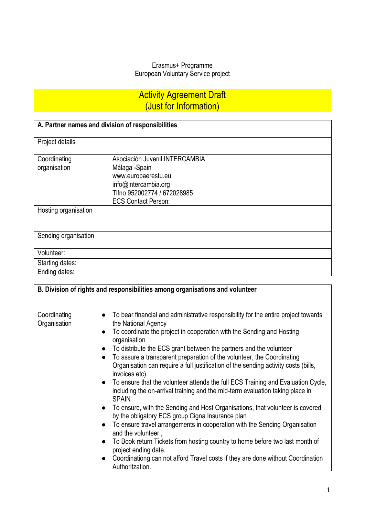### Erasmus+ Programme European Voluntary Service project

# **Activity Agreement Draft** (Just for Information)

| A. Partner names and division of responsibilities |                                |  |
|---------------------------------------------------|--------------------------------|--|
| Project details                                   |                                |  |
| Coordinating                                      | Asociación Juvenil INTERCAMBIA |  |
| organisation                                      | Málaga -Spain                  |  |
|                                                   | www.europaerestu.eu            |  |
|                                                   | info@intercambia.org           |  |
|                                                   | Tlfno 952002774 / 672028985    |  |
|                                                   | <b>ECS Contact Person:</b>     |  |
| Hosting organisation                              |                                |  |
|                                                   |                                |  |
|                                                   |                                |  |
| Sending organisation                              |                                |  |
|                                                   |                                |  |
| Volunteer:                                        |                                |  |
| Starting dates:                                   |                                |  |
| Ending dates:                                     |                                |  |

| B. Division of rights and responsibilities among organisations and volunteer |                                                                                                                                                                                                                                                                                                                                                                                                                                                                                                                                                                                                                                                                                                                                                                                                                                                                                                                                                                                                                                                                                                                                                            |  |
|------------------------------------------------------------------------------|------------------------------------------------------------------------------------------------------------------------------------------------------------------------------------------------------------------------------------------------------------------------------------------------------------------------------------------------------------------------------------------------------------------------------------------------------------------------------------------------------------------------------------------------------------------------------------------------------------------------------------------------------------------------------------------------------------------------------------------------------------------------------------------------------------------------------------------------------------------------------------------------------------------------------------------------------------------------------------------------------------------------------------------------------------------------------------------------------------------------------------------------------------|--|
| Coordinating<br>Organisation                                                 | • To bear financial and administrative responsibility for the entire project towards<br>the National Agency<br>• To coordinate the project in cooperation with the Sending and Hosting<br>organisation<br>• To distribute the ECS grant between the partners and the volunteer<br>To assure a transparent preparation of the volunteer, the Coordinating<br>$\bullet$<br>Organisation can require a full justification of the sending activity costs (bills,<br>invoices etc).<br>• To ensure that the volunteer attends the full ECS Training and Evaluation Cycle,<br>including the on-arrival training and the mid-term evaluation taking place in<br><b>SPAIN</b><br>• To ensure, with the Sending and Host Organisations, that volunteer is covered<br>by the obligatory ECS group Cigna Insurance plan<br>• To ensure travel arrangements in cooperation with the Sending Organisation<br>and the volunteer,<br>To Book return Tickets from hosting country to home before two last month of<br>$\bullet$<br>project ending date.<br>Coordinationg can not afford Travel costs if they are done without Coordination<br>$\bullet$<br>Authoritzation. |  |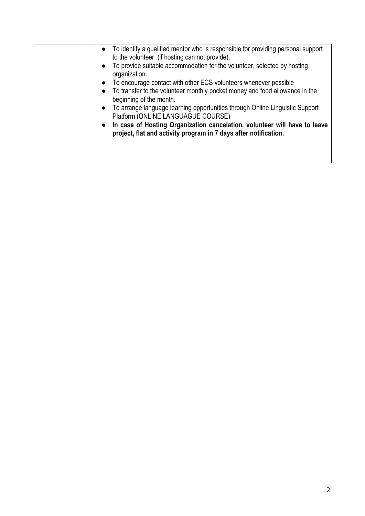| • To identify a qualified mentor who is responsible for providing personal support<br>to the volunteer. (if hosting can not provide).<br>• To provide suitable accommodation for the volunteer, selected by hosting<br>organization.<br>• To encourage contact with other ECS volunteers whenever possible<br>• To transfer to the volunteer monthly pocket money and food allowance in the<br>beginning of the month.<br>• To arrange language learning opportunities through Online Linguistic Support<br>Platform (ONLINE LANGUAGUE COURSE)<br>• In case of Hosting Organization cancelation, volunteer will have to leave<br>project, flat and activity program in 7 days after notification. |
|---------------------------------------------------------------------------------------------------------------------------------------------------------------------------------------------------------------------------------------------------------------------------------------------------------------------------------------------------------------------------------------------------------------------------------------------------------------------------------------------------------------------------------------------------------------------------------------------------------------------------------------------------------------------------------------------------|
|---------------------------------------------------------------------------------------------------------------------------------------------------------------------------------------------------------------------------------------------------------------------------------------------------------------------------------------------------------------------------------------------------------------------------------------------------------------------------------------------------------------------------------------------------------------------------------------------------------------------------------------------------------------------------------------------------|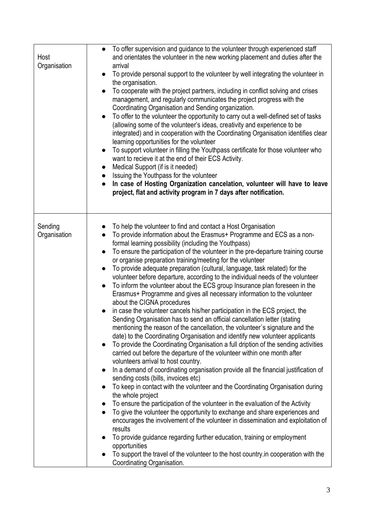| Host<br>Organisation    | To offer supervision and guidance to the volunteer through experienced staff<br>$\bullet$<br>and orientates the volunteer in the new working placement and duties after the<br>arrival<br>To provide personal support to the volunteer by well integrating the volunteer in<br>the organisation.<br>To cooperate with the project partners, including in conflict solving and crises<br>management, and regularly communicates the project progress with the<br>Coordinating Organisation and Sending organization.<br>To offer to the volunteer the opportunity to carry out a well-defined set of tasks<br>$\bullet$<br>(allowing some of the volunteer's ideas, creativity and experience to be<br>integrated) and in cooperation with the Coordinating Organisation identifies clear<br>learning opportunities for the volunteer<br>To support volunteer in filling the Youthpass certificate for those volunteer who<br>$\bullet$<br>want to recieve it at the end of their ECS Activity.<br>Medical Support (if is it needed)<br>$\bullet$<br>Issuing the Youthpass for the volunteer<br>In case of Hosting Organization cancelation, volunteer will have to leave<br>project, flat and activity program in 7 days after notification.                                                                                                                                                                                                                                                                                                                                                                                                                                                                                                                                                                                                                                                                                                                                                                                         |
|-------------------------|--------------------------------------------------------------------------------------------------------------------------------------------------------------------------------------------------------------------------------------------------------------------------------------------------------------------------------------------------------------------------------------------------------------------------------------------------------------------------------------------------------------------------------------------------------------------------------------------------------------------------------------------------------------------------------------------------------------------------------------------------------------------------------------------------------------------------------------------------------------------------------------------------------------------------------------------------------------------------------------------------------------------------------------------------------------------------------------------------------------------------------------------------------------------------------------------------------------------------------------------------------------------------------------------------------------------------------------------------------------------------------------------------------------------------------------------------------------------------------------------------------------------------------------------------------------------------------------------------------------------------------------------------------------------------------------------------------------------------------------------------------------------------------------------------------------------------------------------------------------------------------------------------------------------------------------------------------------------------------------------------------------------------------------|
| Sending<br>Organisation | To help the volunteer to find and contact a Host Organisation<br>To provide information about the Erasmus+ Programme and ECS as a non-<br>formal learning possibility (including the Youthpass)<br>To ensure the participation of the volunteer in the pre-departure training course<br>$\bullet$<br>or organise preparation training/meeting for the volunteer<br>To provide adequate preparation (cultural, language, task related) for the<br>$\bullet$<br>volunteer before departure, according to the individual needs of the volunteer<br>To inform the volunteer about the ECS group Insurance plan foreseen in the<br>$\bullet$<br>Erasmus+ Programme and gives all necessary information to the volunteer<br>about the CIGNA procedures<br>in case the volunteer cancels his/her participation in the ECS project, the<br>Sending Organisation has to send an official cancellation letter (stating<br>mentioning the reason of the cancellation, the volunteer's signature and the<br>date) to the Coordinating Organisation and identify new volunteer applicants<br>To provide the Coordinating Organisation a full dription of the sending activities<br>$\bullet$<br>carried out before the departure of the volunteer within one month after<br>volunteers arrival to host country.<br>In a demand of coordinating organisation provide all the financial justification of<br>$\bullet$<br>sending costs (bills, invoices etc)<br>To keep in contact with the volunteer and the Coordinating Organisation during<br>the whole project<br>To ensure the participation of the volunteer in the evaluation of the Activity<br>To give the volunteer the opportunity to exchange and share experiences and<br>encourages the involvement of the volunteer in dissemination and exploitation of<br>results<br>To provide guidance regarding further education, training or employment<br>opportunities<br>To support the travel of the volunteer to the host country in cooperation with the<br>Coordinating Organisation. |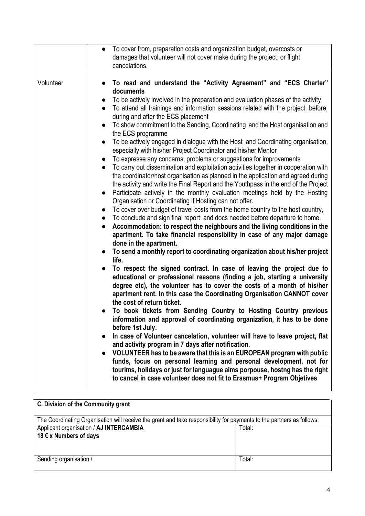|           | • To cover from, preparation costs and organization budget, overcosts or                                                                                                                                                                                                                                                                                                                                                                                                                                                                                                                                                                                                                                                                                                                                                                                                                                                                                                                                                                                                                                                                                                                                                                                                                                                                                                                                                                                                                                                                                                                                                                                                                                                                                                                                                                                                                                                                                                                                                                                                                                                                                                                                                                                                                                                                                                                                                                                                                                                                               |
|-----------|--------------------------------------------------------------------------------------------------------------------------------------------------------------------------------------------------------------------------------------------------------------------------------------------------------------------------------------------------------------------------------------------------------------------------------------------------------------------------------------------------------------------------------------------------------------------------------------------------------------------------------------------------------------------------------------------------------------------------------------------------------------------------------------------------------------------------------------------------------------------------------------------------------------------------------------------------------------------------------------------------------------------------------------------------------------------------------------------------------------------------------------------------------------------------------------------------------------------------------------------------------------------------------------------------------------------------------------------------------------------------------------------------------------------------------------------------------------------------------------------------------------------------------------------------------------------------------------------------------------------------------------------------------------------------------------------------------------------------------------------------------------------------------------------------------------------------------------------------------------------------------------------------------------------------------------------------------------------------------------------------------------------------------------------------------------------------------------------------------------------------------------------------------------------------------------------------------------------------------------------------------------------------------------------------------------------------------------------------------------------------------------------------------------------------------------------------------------------------------------------------------------------------------------------------------|
|           | damages that volunteer will not cover make during the project, or flight<br>cancelations.                                                                                                                                                                                                                                                                                                                                                                                                                                                                                                                                                                                                                                                                                                                                                                                                                                                                                                                                                                                                                                                                                                                                                                                                                                                                                                                                                                                                                                                                                                                                                                                                                                                                                                                                                                                                                                                                                                                                                                                                                                                                                                                                                                                                                                                                                                                                                                                                                                                              |
| Volunteer | • To read and understand the "Activity Agreement" and "ECS Charter"<br>documents<br>To be actively involved in the preparation and evaluation phases of the activity<br>$\bullet$<br>To attend all trainings and information sessions related with the project, before,<br>$\bullet$<br>during and after the ECS placement<br>To show commitment to the Sending, Coordinating and the Host organisation and<br>$\bullet$<br>the ECS programme<br>To be actively engaged in dialogue with the Host and Coordinating organisation,<br>especially with his/her Project Coordinator and his/her Mentor<br>To expresse any concerns, problems or suggestions for improvements<br>To carry out dissemination and exploitation activities together in cooperation with<br>$\bullet$<br>the coordinator/host organisation as planned in the application and agreed during<br>the activity and write the Final Report and the Youthpass in the end of the Project<br>Participate actively in the monthly evaluation meetings held by the Hosting<br>Organisation or Coordinating if Hosting can not offer.<br>To cover over budget of travel costs from the home country to the host country,<br>$\bullet$<br>• To conclude and sign final report and docs needed before departure to home.<br>Accommodation: to respect the neighbours and the living conditions in the<br>apartment. To take financial responsibility in case of any major damage<br>done in the apartment.<br>• To send a monthly report to coordinating organization about his/her project<br>life.<br>To respect the signed contract. In case of leaving the project due to<br>$\bullet$<br>educational or professional reasons (finding a job, starting a university<br>degree etc), the volunteer has to cover the costs of a month of his/her<br>apartment rent. In this case the Coordinating Organisation CANNOT cover<br>the cost of return ticket.<br>To book tickets from Sending Country to Hosting Country previous<br>information and approval of coordinating organization, it has to be done<br>before 1st July.<br>In case of Volunteer cancelation, volunteer will have to leave project, flat<br>and activity program in 7 days after notification.<br>VOLUNTEER has to be aware that this is an EUROPEAN program with public<br>$\bullet$<br>funds, focus on personal learning and personal development, not for<br>tourims, holidays or just for languague aims porpouse, hostng has the right<br>to cancel in case volunteer does not fit to Erasmus+ Program Objetives |

| C. Division of the Community grant                                                                                    |        |  |
|-----------------------------------------------------------------------------------------------------------------------|--------|--|
| The Coordinating Organisation will receive the grant and take responsibility for payments to the partners as follows: |        |  |
| Applicant organisation / AJ INTERCAMBIA<br>Total:                                                                     |        |  |
| 18 € x Numbers of days                                                                                                |        |  |
|                                                                                                                       |        |  |
| Sending organisation /                                                                                                | Total: |  |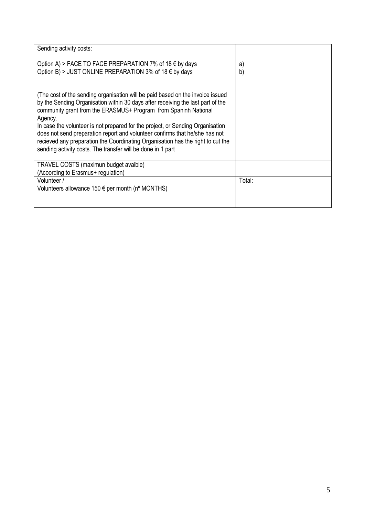| Sending activity costs:                                                                                                                                                                                                                                                                                                                                                                                                                                                                                                                                            |                    |
|--------------------------------------------------------------------------------------------------------------------------------------------------------------------------------------------------------------------------------------------------------------------------------------------------------------------------------------------------------------------------------------------------------------------------------------------------------------------------------------------------------------------------------------------------------------------|--------------------|
| Option A) > FACE TO FACE PREPARATION 7% of 18 $\epsilon$ by days<br>Option B) > JUST ONLINE PREPARATION 3% of 18 $\epsilon$ by days                                                                                                                                                                                                                                                                                                                                                                                                                                | $\mathsf{a}$<br>b) |
| (The cost of the sending organisation will be paid based on the invoice issued<br>by the Sending Organisation within 30 days after receiving the last part of the<br>community grant from the ERASMUS+ Program from Spaninh National<br>Agency.<br>In case the volunteer is not prepared for the project, or Sending Organisation<br>does not send preparation report and volunteer confirms that he/she has not<br>recieved any preparation the Coordinating Organisation has the right to cut the<br>sending activity costs. The transfer will be done in 1 part |                    |
| TRAVEL COSTS (maximun budget avaible)<br>(Acoording to Erasmus+ regulation)                                                                                                                                                                                                                                                                                                                                                                                                                                                                                        |                    |
| Volunteer /<br>Volunteers allowance $150 \in \text{per month}$ (n° MONTHS)                                                                                                                                                                                                                                                                                                                                                                                                                                                                                         | Total:             |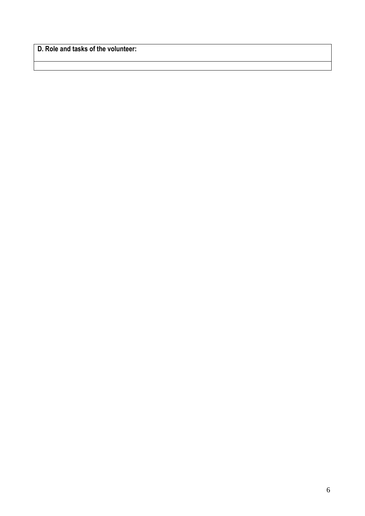**D. Role and tasks of the volunteer:**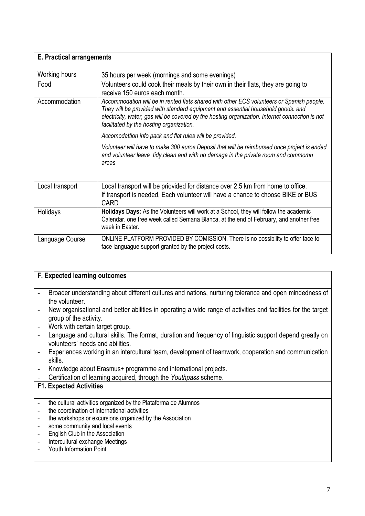| <b>E. Practical arrangements</b> |                                                                                                                                                                                                                                                                                                                              |
|----------------------------------|------------------------------------------------------------------------------------------------------------------------------------------------------------------------------------------------------------------------------------------------------------------------------------------------------------------------------|
| Working hours                    | 35 hours per week (mornings and some evenings)                                                                                                                                                                                                                                                                               |
| Food                             | Volunteers could cook their meals by their own in their flats, they are going to<br>receive 150 euros each month.                                                                                                                                                                                                            |
| Accommodation                    | Accommodation will be in rented flats shared with other ECS volunteers or Spanish people.<br>They will be provided with standard equipment and essential household goods. and<br>electricity, water, gas will be covered by the hosting organization. Internet connection is not<br>facilitated by the hosting organization. |
|                                  | Accomodattion info pack and flat rules will be provided.                                                                                                                                                                                                                                                                     |
|                                  | Volunteer will have to make 300 euros Deposit that will be reimbursed once project is ended<br>and volunteer leave tidy, clean and with no damage in the private room and commomn<br>areas                                                                                                                                   |
| Local transport                  | Local transport will be priovided for distance over 2,5 km from home to office.<br>If transport is needed, Each volunteer will have a chance to choose BIKE or BUS<br><b>CARD</b>                                                                                                                                            |
| Holidays                         | Holidays Days: As the Volunteers will work at a School, they will follow the academic<br>Calendar, one free week called Semana Blanca, at the end of February, and another free<br>week in Easter.                                                                                                                           |
| Language Course                  | ONLINE PLATFORM PROVIDED BY COMISSION, There is no possibility to offer face to<br>face languague support granted by the project costs.                                                                                                                                                                                      |

### **F. Expected learning outcomes** - Broader understanding about different cultures and nations, nurturing tolerance and open mindedness of the volunteer. - New organisational and better abilities in operating a wide range of activities and facilities for the target group of the activity. - Work with certain target group. - Language and cultural skills. The format, duration and frequency of linguistic support depend greatly on volunteers' needs and abilities. - Experiences working in an intercultural team, development of teamwork, cooperation and communication skills. - Knowledge about Erasmus+ programme and international projects. - Certification of learning acquired, through the *Youthpass* scheme. **F1. Expected Activities**  - the cultural activities organized by the Plataforma de Alumnos - the coordination of international activities - the workshops or excursions organized by the Association - some community and local events - English Club in the Association - Intercultural exchange Meetings - Youth Information Point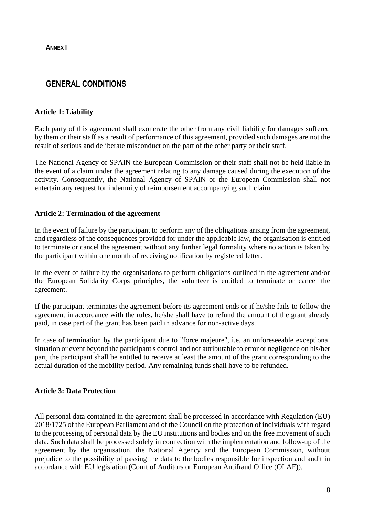**ANNEX I**

## **GENERAL CONDITIONS**

#### **Article 1: Liability**

Each party of this agreement shall exonerate the other from any civil liability for damages suffered by them or their staff as a result of performance of this agreement, provided such damages are not the result of serious and deliberate misconduct on the part of the other party or their staff.

The National Agency of SPAIN the European Commission or their staff shall not be held liable in the event of a claim under the agreement relating to any damage caused during the execution of the activity. Consequently, the National Agency of SPAIN or the European Commission shall not entertain any request for indemnity of reimbursement accompanying such claim.

#### **Article 2: Termination of the agreement**

In the event of failure by the participant to perform any of the obligations arising from the agreement, and regardless of the consequences provided for under the applicable law, the organisation is entitled to terminate or cancel the agreement without any further legal formality where no action is taken by the participant within one month of receiving notification by registered letter.

In the event of failure by the organisations to perform obligations outlined in the agreement and/or the European Solidarity Corps principles, the volunteer is entitled to terminate or cancel the agreement.

If the participant terminates the agreement before its agreement ends or if he/she fails to follow the agreement in accordance with the rules, he/she shall have to refund the amount of the grant already paid, in case part of the grant has been paid in advance for non-active days.

In case of termination by the participant due to "force majeure", i.e. an unforeseeable exceptional situation or event beyond the participant's control and not attributable to error or negligence on his/her part, the participant shall be entitled to receive at least the amount of the grant corresponding to the actual duration of the mobility period. Any remaining funds shall have to be refunded.

#### **Article 3: Data Protection**

All personal data contained in the agreement shall be processed in accordance with Regulation (EU) 2018/1725 of the European Parliament and of the Council on the protection of individuals with regard to the processing of personal data by the EU institutions and bodies and on the free movement of such data. Such data shall be processed solely in connection with the implementation and follow-up of the agreement by the organisation, the National Agency and the European Commission, without prejudice to the possibility of passing the data to the bodies responsible for inspection and audit in accordance with EU legislation (Court of Auditors or European Antifraud Office (OLAF)).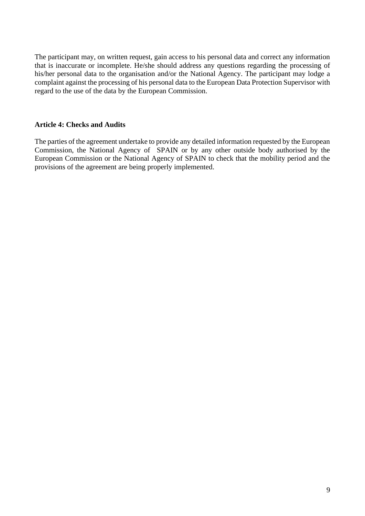The participant may, on written request, gain access to his personal data and correct any information that is inaccurate or incomplete. He/she should address any questions regarding the processing of his/her personal data to the organisation and/or the National Agency. The participant may lodge a complaint against the processing of his personal data to the European Data Protection Supervisor with regard to the use of the data by the European Commission.

#### **Article 4: Checks and Audits**

The parties of the agreement undertake to provide any detailed information requested by the European Commission, the National Agency of SPAIN or by any other outside body authorised by the European Commission or the National Agency of SPAIN to check that the mobility period and the provisions of the agreement are being properly implemented.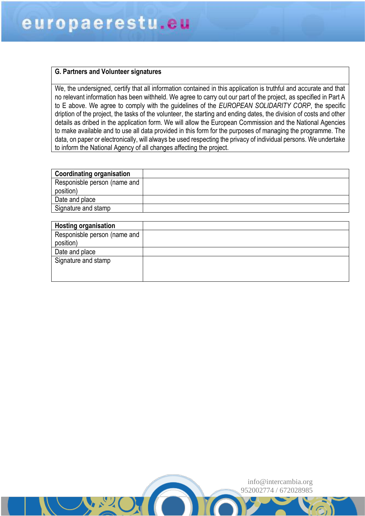#### **G. Partners and Volunteer signatures**

We, the undersigned, certify that all information contained in this application is truthful and accurate and that no relevant information has been withheld. We agree to carry out our part of the project, as specified in Part A to E above. We agree to comply with the guidelines of the *EUROPEAN SOLIDARITY CORP*, the specific dription of the project, the tasks of the volunteer, the starting and ending dates, the division of costs and other details as dribed in the application form. We will allow the European Commission and the National Agencies to make available and to use all data provided in this form for the purposes of managing the programme. The data, on paper or electronically, will always be used respecting the privacy of individual persons. We undertake to inform the National Agency of all changes affecting the project.

| <b>Coordinating organisation</b> |  |
|----------------------------------|--|
| Responisble person (name and     |  |
| position)                        |  |
| Date and place                   |  |
| Signature and stamp              |  |

| <b>Hosting organisation</b>  |  |
|------------------------------|--|
| Responisble person (name and |  |
| position)                    |  |
| Date and place               |  |
| Signature and stamp          |  |
|                              |  |
|                              |  |